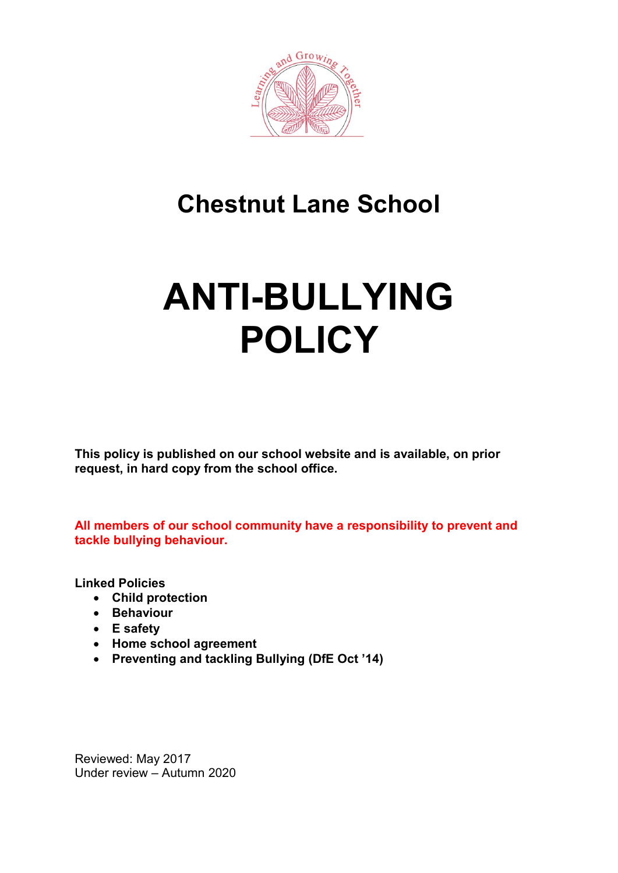

# **Chestnut Lane School**

# **ANTI-BULLYING POLICY**

**This policy is published on our school website and is available, on prior request, in hard copy from the school office.**

**All members of our school community have a responsibility to prevent and tackle bullying behaviour.**

**Linked Policies**

- **Child protection**
- **Behaviour**
- **E safety**
- **Home school agreement**
- **Preventing and tackling Bullying (DfE Oct '14)**

Reviewed: May 2017 Under review – Autumn 2020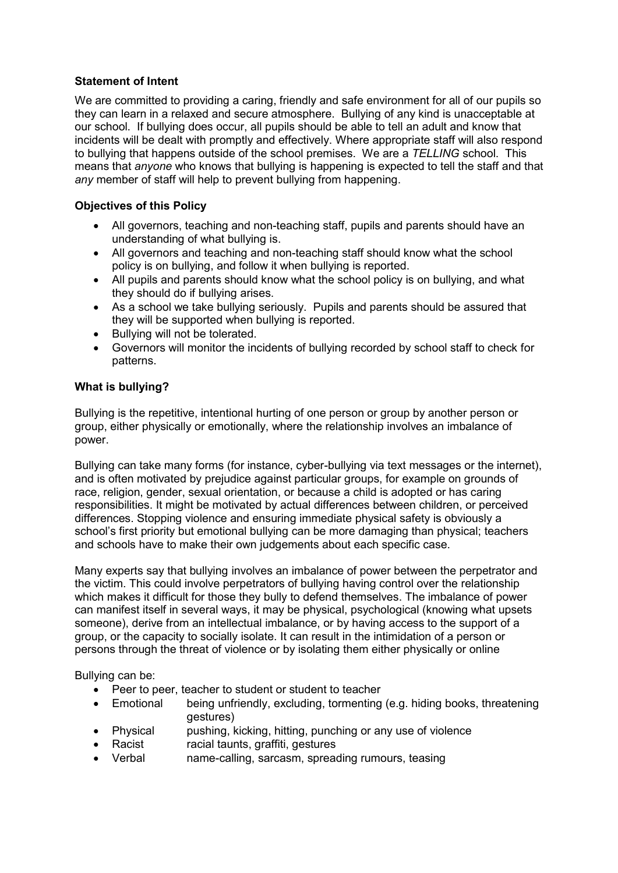# **Statement of Intent**

We are committed to providing a caring, friendly and safe environment for all of our pupils so they can learn in a relaxed and secure atmosphere. Bullying of any kind is unacceptable at our school. If bullying does occur, all pupils should be able to tell an adult and know that incidents will be dealt with promptly and effectively. Where appropriate staff will also respond to bullying that happens outside of the school premises. We are a *TELLING* school. This means that *anyone* who knows that bullying is happening is expected to tell the staff and that *any* member of staff will help to prevent bullying from happening.

# **Objectives of this Policy**

- All governors, teaching and non-teaching staff, pupils and parents should have an understanding of what bullying is.
- All governors and teaching and non-teaching staff should know what the school policy is on bullying, and follow it when bullying is reported.
- All pupils and parents should know what the school policy is on bullying, and what they should do if bullying arises.
- As a school we take bullying seriously. Pupils and parents should be assured that they will be supported when bullying is reported.
- Bullying will not be tolerated.
- Governors will monitor the incidents of bullying recorded by school staff to check for patterns.

#### **What is bullying?**

Bullying is the repetitive, intentional hurting of one person or group by another person or group, either physically or emotionally, where the relationship involves an imbalance of power.

Bullying can take many forms (for instance, cyber-bullying via text messages or the internet), and is often motivated by prejudice against particular groups, for example on grounds of race, religion, gender, sexual orientation, or because a child is adopted or has caring responsibilities. It might be motivated by actual differences between children, or perceived differences. Stopping violence and ensuring immediate physical safety is obviously a school's first priority but emotional bullying can be more damaging than physical; teachers and schools have to make their own judgements about each specific case.

Many experts say that bullying involves an imbalance of power between the perpetrator and the victim. This could involve perpetrators of bullying having control over the relationship which makes it difficult for those they bully to defend themselves. The imbalance of power can manifest itself in several ways, it may be physical, psychological (knowing what upsets someone), derive from an intellectual imbalance, or by having access to the support of a group, or the capacity to socially isolate. It can result in the intimidation of a person or persons through the threat of violence or by isolating them either physically or online

Bullying can be:

- Peer to peer, teacher to student or student to teacher
- Emotional being unfriendly, excluding, tormenting (e.g. hiding books, threatening gestures)
- Physical pushing, kicking, hitting, punching or any use of violence
- Racist racial taunts, graffiti, gestures
- Verbal name-calling, sarcasm, spreading rumours, teasing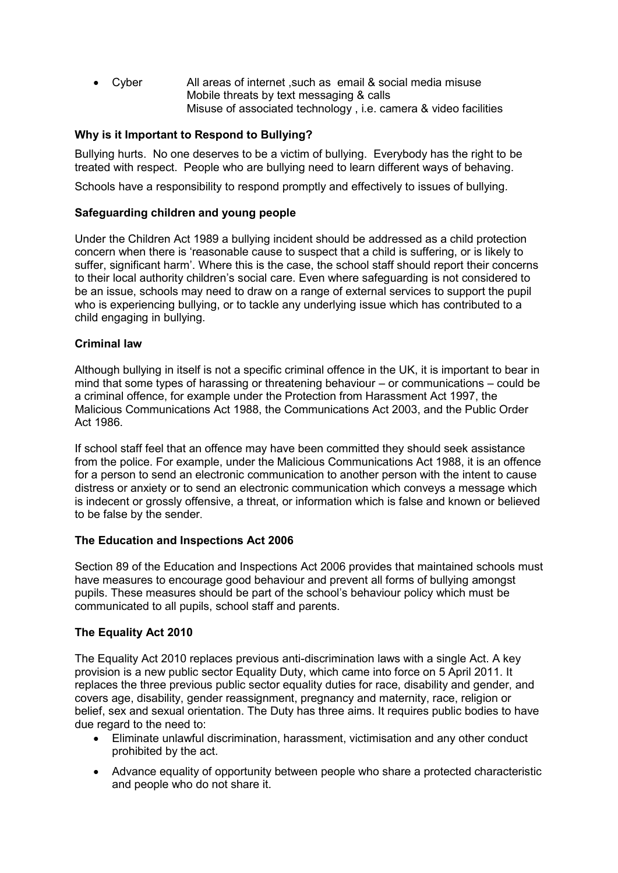• Cyber All areas of internet ,such as email & social media misuse Mobile threats by text messaging & calls Misuse of associated technology , i.e. camera & video facilities

# **Why is it Important to Respond to Bullying?**

Bullying hurts. No one deserves to be a victim of bullying. Everybody has the right to be treated with respect. People who are bullying need to learn different ways of behaving.

Schools have a responsibility to respond promptly and effectively to issues of bullying.

#### **Safeguarding children and young people**

Under the Children Act 1989 a bullying incident should be addressed as a child protection concern when there is 'reasonable cause to suspect that a child is suffering, or is likely to suffer, significant harm'. Where this is the case, the school staff should report their concerns to their local authority children's social care. Even where safeguarding is not considered to be an issue, schools may need to draw on a range of external services to support the pupil who is experiencing bullying, or to tackle any underlying issue which has contributed to a child engaging in bullying.

#### **Criminal law**

Although bullying in itself is not a specific criminal offence in the UK, it is important to bear in mind that some types of harassing or threatening behaviour – or communications – could be a criminal offence, for example under the Protection from Harassment Act 1997, the Malicious Communications Act 1988, the Communications Act 2003, and the Public Order Act 1986.

If school staff feel that an offence may have been committed they should seek assistance from the police. For example, under the Malicious Communications Act 1988, it is an offence for a person to send an electronic communication to another person with the intent to cause distress or anxiety or to send an electronic communication which conveys a message which is indecent or grossly offensive, a threat, or information which is false and known or believed to be false by the sender.

#### **The Education and Inspections Act 2006**

Section 89 of the Education and Inspections Act 2006 provides that maintained schools must have measures to encourage good behaviour and prevent all forms of bullying amongst pupils. These measures should be part of the school's behaviour policy which must be communicated to all pupils, school staff and parents.

#### **The Equality Act 2010**

The Equality Act 2010 replaces previous anti-discrimination laws with a single Act. A key provision is a new public sector Equality Duty, which came into force on 5 April 2011. It replaces the three previous public sector equality duties for race, disability and gender, and covers age, disability, gender reassignment, pregnancy and maternity, race, religion or belief, sex and sexual orientation. The Duty has three aims. It requires public bodies to have due regard to the need to:

- Eliminate unlawful discrimination, harassment, victimisation and any other conduct prohibited by the act.
- Advance equality of opportunity between people who share a protected characteristic and people who do not share it.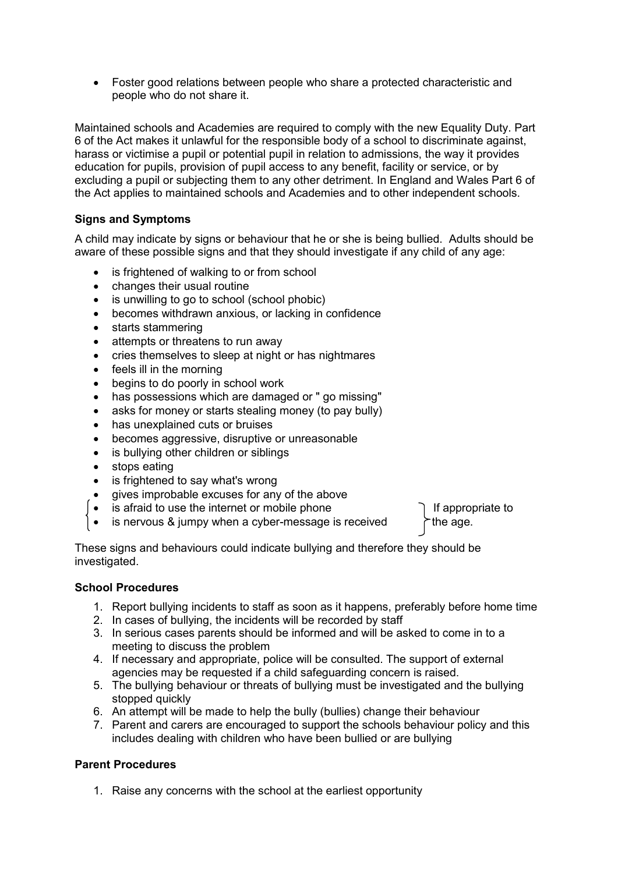• Foster good relations between people who share a protected characteristic and people who do not share it.

Maintained schools and Academies are required to comply with the new Equality Duty. Part 6 of the Act makes it unlawful for the responsible body of a school to discriminate against, harass or victimise a pupil or potential pupil in relation to admissions, the way it provides education for pupils, provision of pupil access to any benefit, facility or service, or by excluding a pupil or subjecting them to any other detriment. In England and Wales Part 6 of the Act applies to maintained schools and Academies and to other independent schools.

# **Signs and Symptoms**

A child may indicate by signs or behaviour that he or she is being bullied. Adults should be aware of these possible signs and that they should investigate if any child of any age:

- is frightened of walking to or from school
- changes their usual routine
- is unwilling to go to school (school phobic)
- becomes withdrawn anxious, or lacking in confidence
- starts stammering
- attempts or threatens to run away
- cries themselves to sleep at night or has nightmares
- feels ill in the morning
- begins to do poorly in school work
- has possessions which are damaged or " go missing"
- asks for money or starts stealing money (to pay bully)
- has unexplained cuts or bruises
- becomes aggressive, disruptive or unreasonable
- is bullying other children or siblings
- stops eating
- is frightened to say what's wrong
- gives improbable excuses for any of the above
- is afraid to use the internet or mobile phone  $\Box$  If appropriate to
- is nervous & jumpy when a cyber-message is received  $\uparrow$  the age.

These signs and behaviours could indicate bullying and therefore they should be investigated.

#### **School Procedures**

- 1. Report bullying incidents to staff as soon as it happens, preferably before home time
- 2. In cases of bullying, the incidents will be recorded by staff
- 3. In serious cases parents should be informed and will be asked to come in to a meeting to discuss the problem
- 4. If necessary and appropriate, police will be consulted. The support of external agencies may be requested if a child safeguarding concern is raised.
- 5. The bullying behaviour or threats of bullying must be investigated and the bullying stopped quickly
- 6. An attempt will be made to help the bully (bullies) change their behaviour
- 7. Parent and carers are encouraged to support the schools behaviour policy and this includes dealing with children who have been bullied or are bullying

#### **Parent Procedures**

1. Raise any concerns with the school at the earliest opportunity